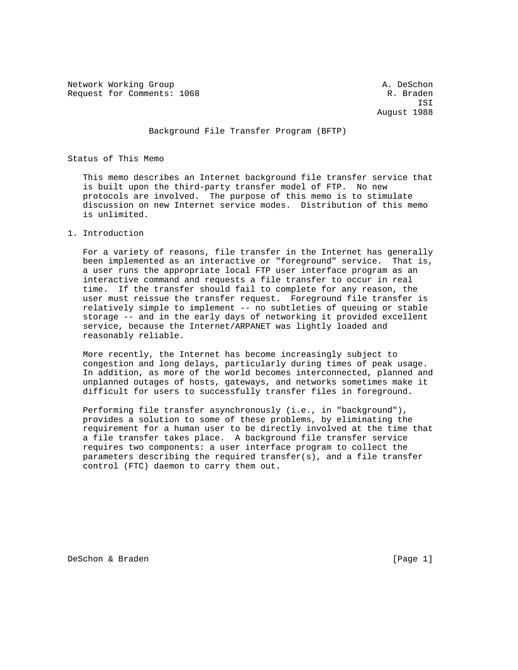Network Working Group and A. DeSchon A. DeSchon Request for Comments: 1068 Request for Comments: 1068

 ISI August 1988

## Background File Transfer Program (BFTP)

Status of This Memo

 This memo describes an Internet background file transfer service that is built upon the third-party transfer model of FTP. No new protocols are involved. The purpose of this memo is to stimulate discussion on new Internet service modes. Distribution of this memo is unlimited.

#### 1. Introduction

 For a variety of reasons, file transfer in the Internet has generally been implemented as an interactive or "foreground" service. That is, a user runs the appropriate local FTP user interface program as an interactive command and requests a file transfer to occur in real time. If the transfer should fail to complete for any reason, the user must reissue the transfer request. Foreground file transfer is relatively simple to implement -- no subtleties of queuing or stable storage -- and in the early days of networking it provided excellent service, because the Internet/ARPANET was lightly loaded and reasonably reliable.

 More recently, the Internet has become increasingly subject to congestion and long delays, particularly during times of peak usage. In addition, as more of the world becomes interconnected, planned and unplanned outages of hosts, gateways, and networks sometimes make it difficult for users to successfully transfer files in foreground.

 Performing file transfer asynchronously (i.e., in "background"), provides a solution to some of these problems, by eliminating the requirement for a human user to be directly involved at the time that a file transfer takes place. A background file transfer service requires two components: a user interface program to collect the parameters describing the required transfer(s), and a file transfer control (FTC) daemon to carry them out.

DeSchon & Braden and the contract of the contract of the contract of the contract of the contract of the contract of the contract of the contract of the contract of the contract of the contract of the contract of the contr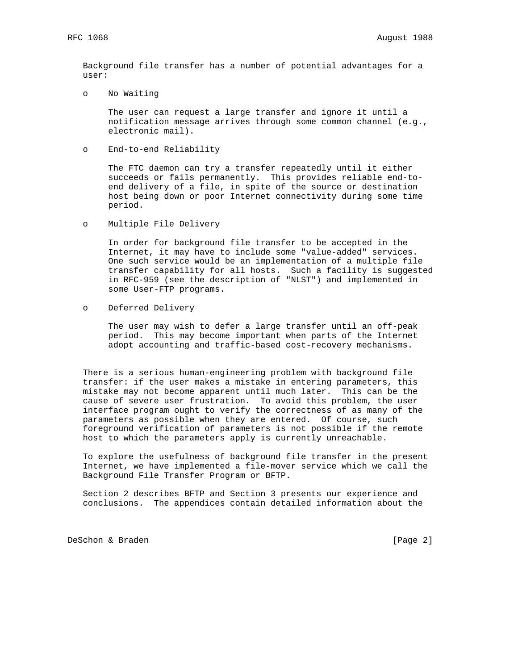Background file transfer has a number of potential advantages for a user:

o No Waiting

 The user can request a large transfer and ignore it until a notification message arrives through some common channel (e.g., electronic mail).

o End-to-end Reliability

 The FTC daemon can try a transfer repeatedly until it either succeeds or fails permanently. This provides reliable end-to end delivery of a file, in spite of the source or destination host being down or poor Internet connectivity during some time period.

o Multiple File Delivery

 In order for background file transfer to be accepted in the Internet, it may have to include some "value-added" services. One such service would be an implementation of a multiple file transfer capability for all hosts. Such a facility is suggested in RFC-959 (see the description of "NLST") and implemented in some User-FTP programs.

o Deferred Delivery

 The user may wish to defer a large transfer until an off-peak period. This may become important when parts of the Internet adopt accounting and traffic-based cost-recovery mechanisms.

 There is a serious human-engineering problem with background file transfer: if the user makes a mistake in entering parameters, this mistake may not become apparent until much later. This can be the cause of severe user frustration. To avoid this problem, the user interface program ought to verify the correctness of as many of the parameters as possible when they are entered. Of course, such foreground verification of parameters is not possible if the remote host to which the parameters apply is currently unreachable.

 To explore the usefulness of background file transfer in the present Internet, we have implemented a file-mover service which we call the Background File Transfer Program or BFTP.

 Section 2 describes BFTP and Section 3 presents our experience and conclusions. The appendices contain detailed information about the

DeSchon & Braden [Page 2]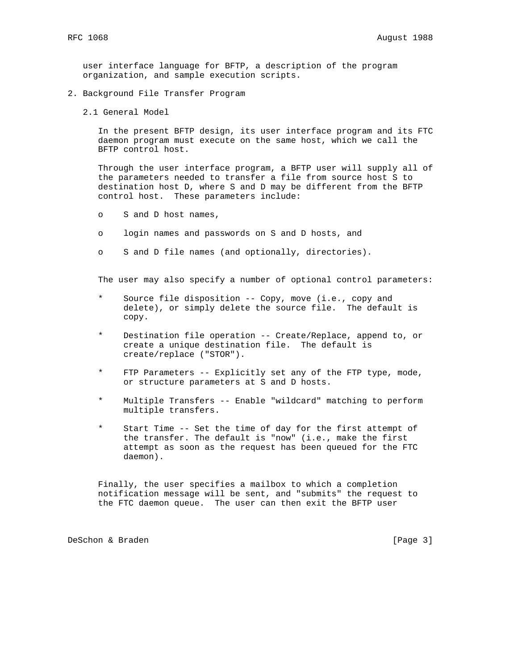user interface language for BFTP, a description of the program organization, and sample execution scripts.

- 2. Background File Transfer Program
	- 2.1 General Model

 In the present BFTP design, its user interface program and its FTC daemon program must execute on the same host, which we call the BFTP control host.

 Through the user interface program, a BFTP user will supply all of the parameters needed to transfer a file from source host S to destination host D, where S and D may be different from the BFTP control host. These parameters include:

- o S and D host names,
- o login names and passwords on S and D hosts, and
- o S and D file names (and optionally, directories).

The user may also specify a number of optional control parameters:

- Source file disposition -- Copy, move (i.e., copy and delete), or simply delete the source file. The default is copy.
- Destination file operation -- Create/Replace, append to, or create a unique destination file. The default is create/replace ("STOR").
- \* FTP Parameters -- Explicitly set any of the FTP type, mode, or structure parameters at S and D hosts.
- Multiple Transfers -- Enable "wildcard" matching to perform multiple transfers.
- Start Time -- Set the time of day for the first attempt of the transfer. The default is "now" (i.e., make the first attempt as soon as the request has been queued for the FTC daemon).

 Finally, the user specifies a mailbox to which a completion notification message will be sent, and "submits" the request to the FTC daemon queue. The user can then exit the BFTP user

DeSchon & Braden and the contract of the contract of the contract of the contract of the contract of the contract of the contract of the contract of the contract of the contract of the contract of the contract of the contr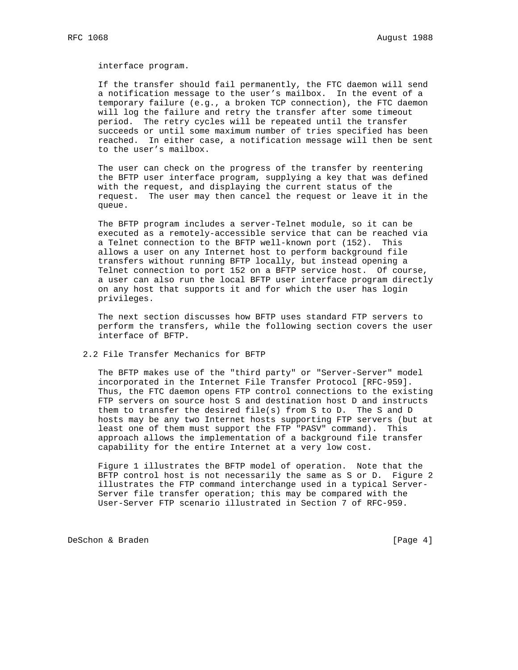interface program.

 If the transfer should fail permanently, the FTC daemon will send a notification message to the user's mailbox. In the event of a temporary failure (e.g., a broken TCP connection), the FTC daemon will log the failure and retry the transfer after some timeout period. The retry cycles will be repeated until the transfer succeeds or until some maximum number of tries specified has been reached. In either case, a notification message will then be sent to the user's mailbox.

 The user can check on the progress of the transfer by reentering the BFTP user interface program, supplying a key that was defined with the request, and displaying the current status of the request. The user may then cancel the request or leave it in the queue.

 The BFTP program includes a server-Telnet module, so it can be executed as a remotely-accessible service that can be reached via a Telnet connection to the BFTP well-known port (152). This allows a user on any Internet host to perform background file transfers without running BFTP locally, but instead opening a Telnet connection to port 152 on a BFTP service host. Of course, a user can also run the local BFTP user interface program directly on any host that supports it and for which the user has login privileges.

 The next section discusses how BFTP uses standard FTP servers to perform the transfers, while the following section covers the user interface of BFTP.

2.2 File Transfer Mechanics for BFTP

 The BFTP makes use of the "third party" or "Server-Server" model incorporated in the Internet File Transfer Protocol [RFC-959]. Thus, the FTC daemon opens FTP control connections to the existing FTP servers on source host S and destination host D and instructs them to transfer the desired file(s) from S to D. The S and D hosts may be any two Internet hosts supporting FTP servers (but at least one of them must support the FTP "PASV" command). This approach allows the implementation of a background file transfer capability for the entire Internet at a very low cost.

 Figure 1 illustrates the BFTP model of operation. Note that the BFTP control host is not necessarily the same as S or D. Figure 2 illustrates the FTP command interchange used in a typical Server- Server file transfer operation; this may be compared with the User-Server FTP scenario illustrated in Section 7 of RFC-959.

DeSchon & Braden and the contract of the contract of the contract of the contract of the contract of the contract of the contract of the contract of the contract of the contract of the contract of the contract of the contr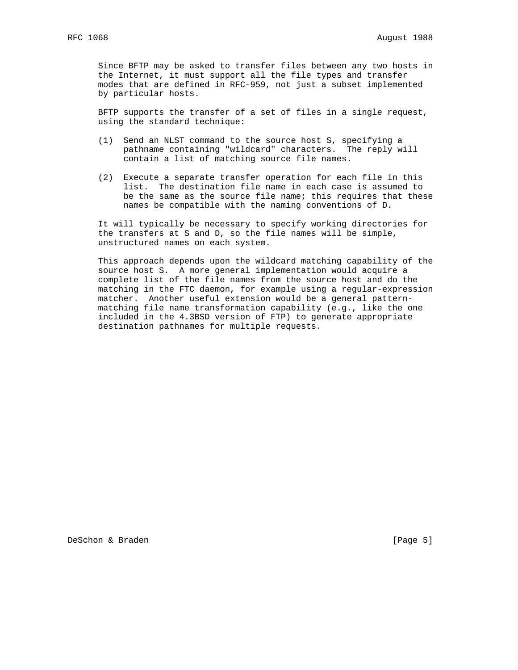Since BFTP may be asked to transfer files between any two hosts in the Internet, it must support all the file types and transfer modes that are defined in RFC-959, not just a subset implemented by particular hosts.

 BFTP supports the transfer of a set of files in a single request, using the standard technique:

- (1) Send an NLST command to the source host S, specifying a pathname containing "wildcard" characters. The reply will contain a list of matching source file names.
- (2) Execute a separate transfer operation for each file in this list. The destination file name in each case is assumed to be the same as the source file name; this requires that these names be compatible with the naming conventions of D.

 It will typically be necessary to specify working directories for the transfers at S and D, so the file names will be simple, unstructured names on each system.

 This approach depends upon the wildcard matching capability of the source host S. A more general implementation would acquire a complete list of the file names from the source host and do the matching in the FTC daemon, for example using a regular-expression matcher. Another useful extension would be a general pattern matching file name transformation capability (e.g., like the one included in the 4.3BSD version of FTP) to generate appropriate destination pathnames for multiple requests.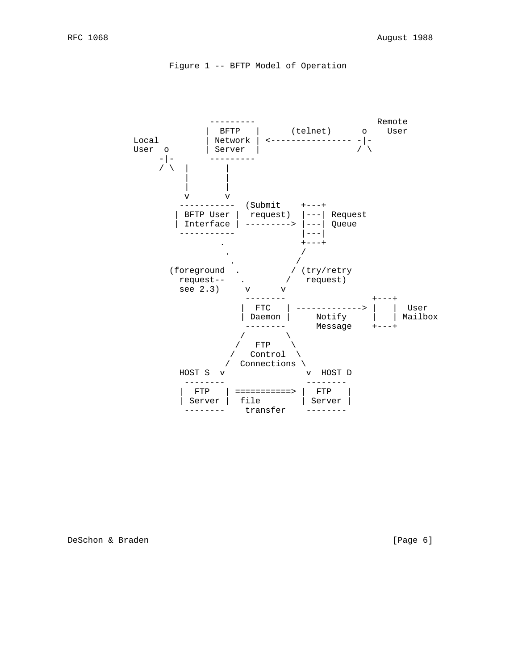```
 Figure 1 -- BFTP Model of Operation
```


DeSchon & Braden [Page 6]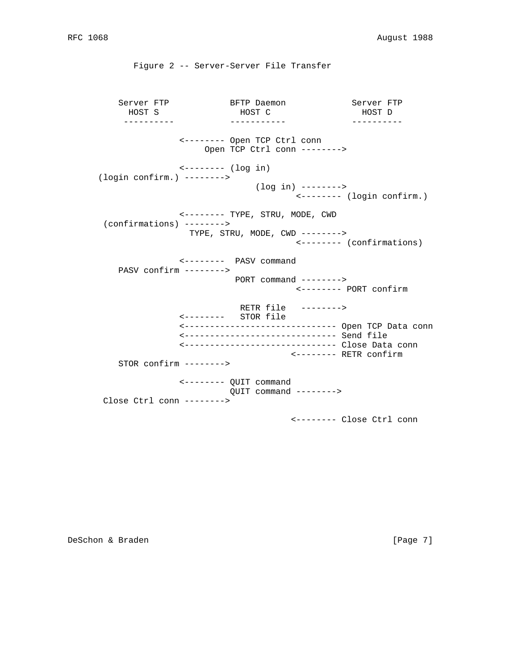Server FTP BFTP Daemon Server FTP HOST S HOST C HOST D ---------- ----------- ---------- <-------- Open TCP Ctrl conn Open TCP Ctrl conn --------> <-------- (log in) (login confirm.) --------> (log in) --------> <-------- (login confirm.) <-------- TYPE, STRU, MODE, CWD (confirmations) --------> TYPE, STRU, MODE, CWD --------> <-------- (confirmations) <-------- PASV command PASV confirm --------> PORT command --------> <-------- PORT confirm RETR file --------> <-------- STOR file <------------------------------ Open TCP Data conn <------------------------------ Send file <------------------------------ Close Data conn <-------- RETR confirm STOR confirm --------> <-------- QUIT command QUIT command --------> Close Ctrl conn --------> <-------- Close Ctrl conn

Figure 2 -- Server-Server File Transfer

DeSchon & Braden and the contract of the contract of the contract of the contract of the contract of the contract of the contract of the contract of the contract of the contract of the contract of the contract of the contr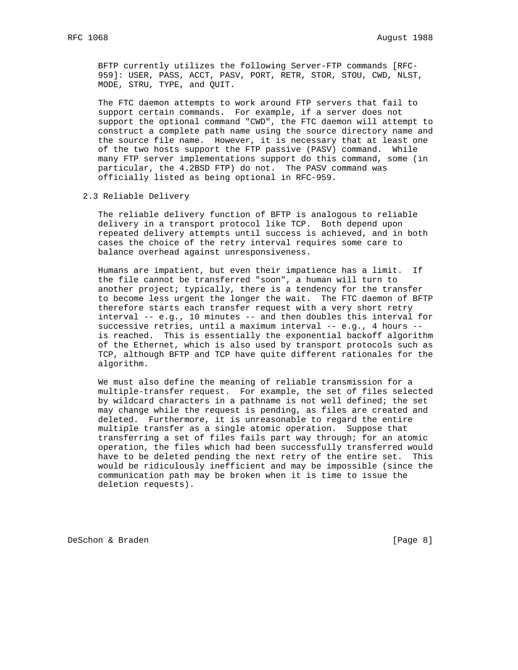BFTP currently utilizes the following Server-FTP commands [RFC- 959]: USER, PASS, ACCT, PASV, PORT, RETR, STOR, STOU, CWD, NLST, MODE, STRU, TYPE, and QUIT.

 The FTC daemon attempts to work around FTP servers that fail to support certain commands. For example, if a server does not support the optional command "CWD", the FTC daemon will attempt to construct a complete path name using the source directory name and the source file name. However, it is necessary that at least one of the two hosts support the FTP passive (PASV) command. While many FTP server implementations support do this command, some (in particular, the 4.2BSD FTP) do not. The PASV command was officially listed as being optional in RFC-959.

#### 2.3 Reliable Delivery

 The reliable delivery function of BFTP is analogous to reliable delivery in a transport protocol like TCP. Both depend upon repeated delivery attempts until success is achieved, and in both cases the choice of the retry interval requires some care to balance overhead against unresponsiveness.

 Humans are impatient, but even their impatience has a limit. If the file cannot be transferred "soon", a human will turn to another project; typically, there is a tendency for the transfer to become less urgent the longer the wait. The FTC daemon of BFTP therefore starts each transfer request with a very short retry interval -- e.g., 10 minutes -- and then doubles this interval for successive retries, until a maximum interval -- e.g., 4 hours - is reached. This is essentially the exponential backoff algorithm of the Ethernet, which is also used by transport protocols such as TCP, although BFTP and TCP have quite different rationales for the algorithm.

 We must also define the meaning of reliable transmission for a multiple-transfer request. For example, the set of files selected by wildcard characters in a pathname is not well defined; the set may change while the request is pending, as files are created and deleted. Furthermore, it is unreasonable to regard the entire multiple transfer as a single atomic operation. Suppose that transferring a set of files fails part way through; for an atomic operation, the files which had been successfully transferred would have to be deleted pending the next retry of the entire set. This would be ridiculously inefficient and may be impossible (since the communication path may be broken when it is time to issue the deletion requests).

DeSchon & Braden and the contract of the contract of the contract of the contract of the contract of the contract of the contract of the contract of the contract of the contract of the contract of the contract of the contr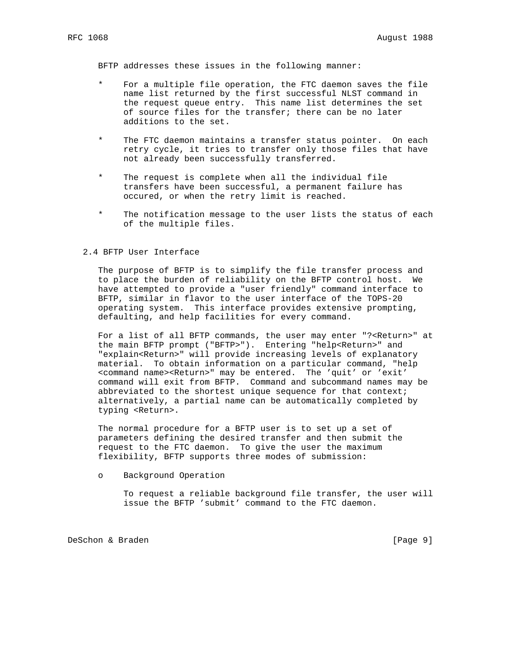BFTP addresses these issues in the following manner:

- For a multiple file operation, the FTC daemon saves the file name list returned by the first successful NLST command in the request queue entry. This name list determines the set of source files for the transfer; there can be no later additions to the set.
- The FTC daemon maintains a transfer status pointer. On each retry cycle, it tries to transfer only those files that have not already been successfully transferred.
- The request is complete when all the individual file transfers have been successful, a permanent failure has occured, or when the retry limit is reached.
- The notification message to the user lists the status of each of the multiple files.

#### 2.4 BFTP User Interface

 The purpose of BFTP is to simplify the file transfer process and to place the burden of reliability on the BFTP control host. We have attempted to provide a "user friendly" command interface to BFTP, similar in flavor to the user interface of the TOPS-20 operating system. This interface provides extensive prompting, defaulting, and help facilities for every command.

 For a list of all BFTP commands, the user may enter "?<Return>" at the main BFTP prompt ("BFTP>"). Entering "help<Return>" and "explain<Return>" will provide increasing levels of explanatory material. To obtain information on a particular command, "help <command name><Return>" may be entered. The 'quit' or 'exit' command will exit from BFTP. Command and subcommand names may be abbreviated to the shortest unique sequence for that context; alternatively, a partial name can be automatically completed by typing <Return>.

 The normal procedure for a BFTP user is to set up a set of parameters defining the desired transfer and then submit the request to the FTC daemon. To give the user the maximum flexibility, BFTP supports three modes of submission:

o Background Operation

 To request a reliable background file transfer, the user will issue the BFTP 'submit' command to the FTC daemon.

DeSchon & Braden [Page 9]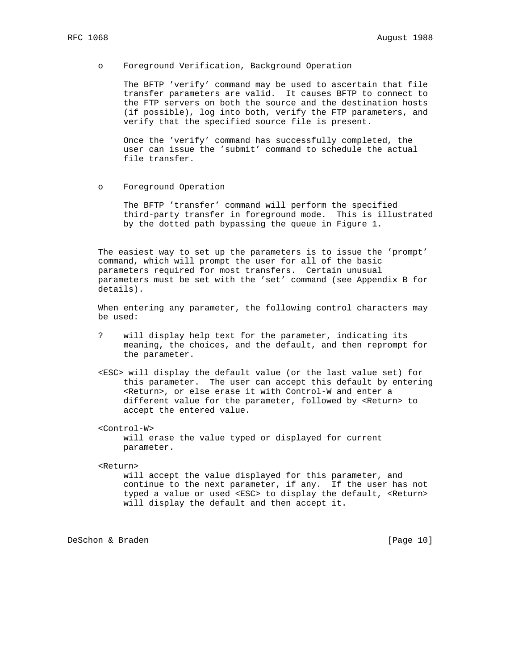#### o Foreground Verification, Background Operation

 The BFTP 'verify' command may be used to ascertain that file transfer parameters are valid. It causes BFTP to connect to the FTP servers on both the source and the destination hosts (if possible), log into both, verify the FTP parameters, and verify that the specified source file is present.

 Once the 'verify' command has successfully completed, the user can issue the 'submit' command to schedule the actual file transfer.

o Foreground Operation

 The BFTP 'transfer' command will perform the specified third-party transfer in foreground mode. This is illustrated by the dotted path bypassing the queue in Figure 1.

 The easiest way to set up the parameters is to issue the 'prompt' command, which will prompt the user for all of the basic parameters required for most transfers. Certain unusual parameters must be set with the 'set' command (see Appendix B for details).

 When entering any parameter, the following control characters may be used:

- ? will display help text for the parameter, indicating its meaning, the choices, and the default, and then reprompt for the parameter.
- <ESC> will display the default value (or the last value set) for this parameter. The user can accept this default by entering <Return>, or else erase it with Control-W and enter a different value for the parameter, followed by <Return> to accept the entered value.

<Control-W>

 will erase the value typed or displayed for current parameter.

<Return>

 will accept the value displayed for this parameter, and continue to the next parameter, if any. If the user has not typed a value or used <ESC> to display the default, <Return> will display the default and then accept it.

DeSchon & Braden [Page 10]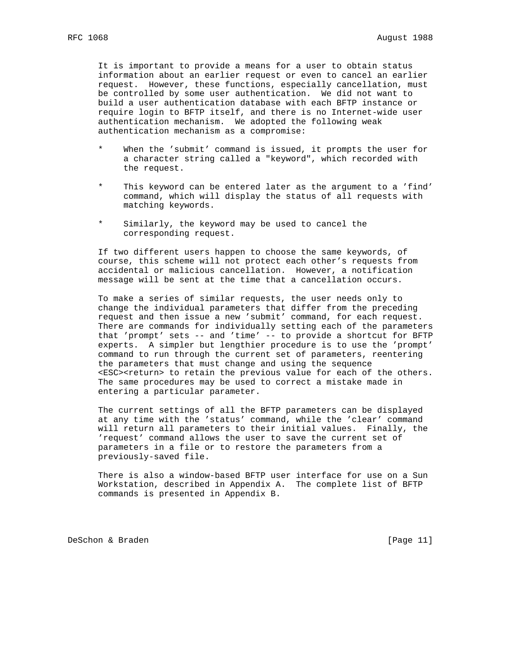It is important to provide a means for a user to obtain status information about an earlier request or even to cancel an earlier request. However, these functions, especially cancellation, must be controlled by some user authentication. We did not want to build a user authentication database with each BFTP instance or require login to BFTP itself, and there is no Internet-wide user authentication mechanism. We adopted the following weak authentication mechanism as a compromise:

- \* When the 'submit' command is issued, it prompts the user for a character string called a "keyword", which recorded with the request.
- This keyword can be entered later as the argument to a 'find' command, which will display the status of all requests with matching keywords.
- Similarly, the keyword may be used to cancel the corresponding request.

 If two different users happen to choose the same keywords, of course, this scheme will not protect each other's requests from accidental or malicious cancellation. However, a notification message will be sent at the time that a cancellation occurs.

 To make a series of similar requests, the user needs only to change the individual parameters that differ from the preceding request and then issue a new 'submit' command, for each request. There are commands for individually setting each of the parameters that 'prompt' sets -- and 'time' -- to provide a shortcut for BFTP experts. A simpler but lengthier procedure is to use the 'prompt' command to run through the current set of parameters, reentering the parameters that must change and using the sequence <ESC><return> to retain the previous value for each of the others. The same procedures may be used to correct a mistake made in entering a particular parameter.

 The current settings of all the BFTP parameters can be displayed at any time with the 'status' command, while the 'clear' command will return all parameters to their initial values. Finally, the 'request' command allows the user to save the current set of parameters in a file or to restore the parameters from a previously-saved file.

 There is also a window-based BFTP user interface for use on a Sun Workstation, described in Appendix A. The complete list of BFTP commands is presented in Appendix B.

DeSchon & Braden [Page 11]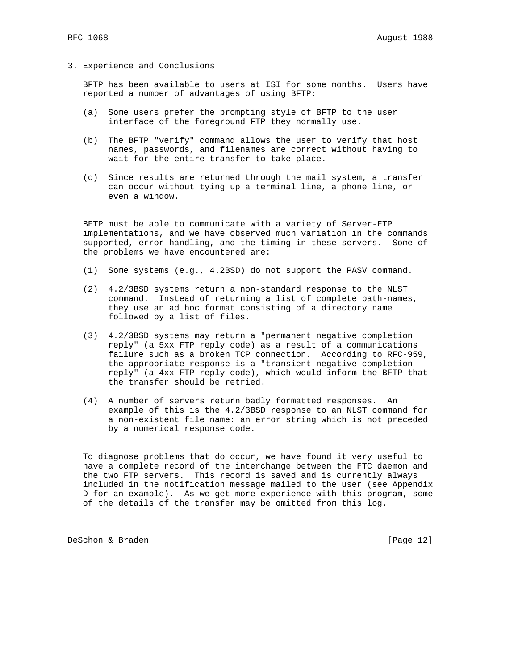3. Experience and Conclusions

 BFTP has been available to users at ISI for some months. Users have reported a number of advantages of using BFTP:

- (a) Some users prefer the prompting style of BFTP to the user interface of the foreground FTP they normally use.
- (b) The BFTP "verify" command allows the user to verify that host names, passwords, and filenames are correct without having to wait for the entire transfer to take place.
- (c) Since results are returned through the mail system, a transfer can occur without tying up a terminal line, a phone line, or even a window.

 BFTP must be able to communicate with a variety of Server-FTP implementations, and we have observed much variation in the commands supported, error handling, and the timing in these servers. Some of the problems we have encountered are:

- (1) Some systems (e.g., 4.2BSD) do not support the PASV command.
- (2) 4.2/3BSD systems return a non-standard response to the NLST command. Instead of returning a list of complete path-names, they use an ad hoc format consisting of a directory name followed by a list of files.
- (3) 4.2/3BSD systems may return a "permanent negative completion reply" (a 5xx FTP reply code) as a result of a communications failure such as a broken TCP connection. According to RFC-959, the appropriate response is a "transient negative completion reply" (a 4xx FTP reply code), which would inform the BFTP that the transfer should be retried.
- (4) A number of servers return badly formatted responses. An example of this is the 4.2/3BSD response to an NLST command for a non-existent file name: an error string which is not preceded by a numerical response code.

 To diagnose problems that do occur, we have found it very useful to have a complete record of the interchange between the FTC daemon and the two FTP servers. This record is saved and is currently always included in the notification message mailed to the user (see Appendix D for an example). As we get more experience with this program, some of the details of the transfer may be omitted from this log.

DeSchon & Braden [Page 12]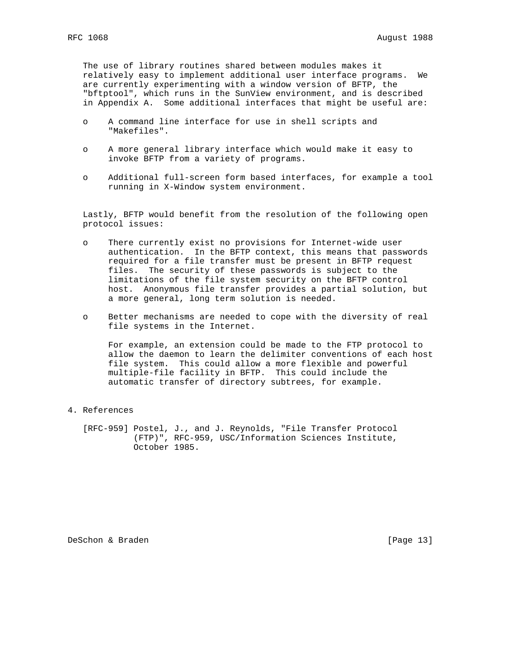The use of library routines shared between modules makes it relatively easy to implement additional user interface programs. We are currently experimenting with a window version of BFTP, the "bftptool", which runs in the SunView environment, and is described in Appendix A. Some additional interfaces that might be useful are:

- o A command line interface for use in shell scripts and "Makefiles".
- o A more general library interface which would make it easy to invoke BFTP from a variety of programs.
- o Additional full-screen form based interfaces, for example a tool running in X-Window system environment.

 Lastly, BFTP would benefit from the resolution of the following open protocol issues:

- o There currently exist no provisions for Internet-wide user authentication. In the BFTP context, this means that passwords required for a file transfer must be present in BFTP request files. The security of these passwords is subject to the limitations of the file system security on the BFTP control host. Anonymous file transfer provides a partial solution, but a more general, long term solution is needed.
- o Better mechanisms are needed to cope with the diversity of real file systems in the Internet.

 For example, an extension could be made to the FTP protocol to allow the daemon to learn the delimiter conventions of each host file system. This could allow a more flexible and powerful multiple-file facility in BFTP. This could include the automatic transfer of directory subtrees, for example.

# 4. References

 [RFC-959] Postel, J., and J. Reynolds, "File Transfer Protocol (FTP)", RFC-959, USC/Information Sciences Institute, October 1985.

DeSchon & Braden [Page 13]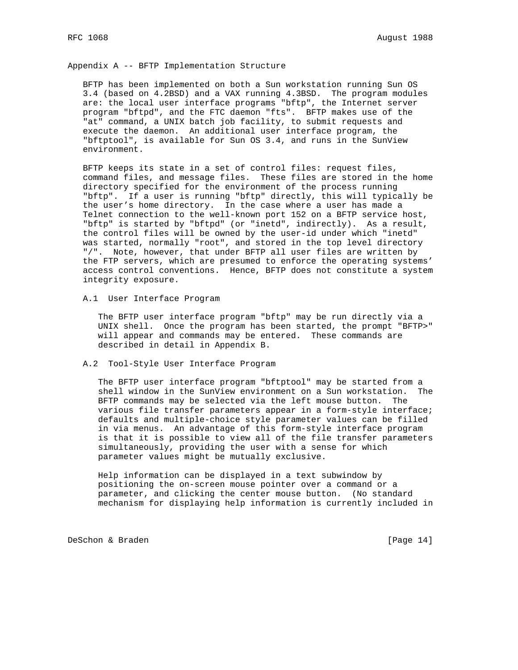Appendix A -- BFTP Implementation Structure

 BFTP has been implemented on both a Sun workstation running Sun OS 3.4 (based on 4.2BSD) and a VAX running 4.3BSD. The program modules are: the local user interface programs "bftp", the Internet server program "bftpd", and the FTC daemon "fts". BFTP makes use of the "at" command, a UNIX batch job facility, to submit requests and execute the daemon. An additional user interface program, the "bftptool", is available for Sun OS 3.4, and runs in the SunView environment.

 BFTP keeps its state in a set of control files: request files, command files, and message files. These files are stored in the home directory specified for the environment of the process running "bftp". If a user is running "bftp" directly, this will typically be the user's home directory. In the case where a user has made a Telnet connection to the well-known port 152 on a BFTP service host, "bftp" is started by "bftpd" (or "inetd", indirectly). As a result, the control files will be owned by the user-id under which "inetd" was started, normally "root", and stored in the top level directory "/". Note, however, that under BFTP all user files are written by the FTP servers, which are presumed to enforce the operating systems' access control conventions. Hence, BFTP does not constitute a system integrity exposure.

A.1 User Interface Program

 The BFTP user interface program "bftp" may be run directly via a UNIX shell. Once the program has been started, the prompt "BFTP>" will appear and commands may be entered. These commands are described in detail in Appendix B.

A.2 Tool-Style User Interface Program

 The BFTP user interface program "bftptool" may be started from a shell window in the SunView environment on a Sun workstation. The BFTP commands may be selected via the left mouse button. The various file transfer parameters appear in a form-style interface; defaults and multiple-choice style parameter values can be filled in via menus. An advantage of this form-style interface program is that it is possible to view all of the file transfer parameters simultaneously, providing the user with a sense for which parameter values might be mutually exclusive.

 Help information can be displayed in a text subwindow by positioning the on-screen mouse pointer over a command or a parameter, and clicking the center mouse button. (No standard mechanism for displaying help information is currently included in

DeSchon & Braden [Page 14]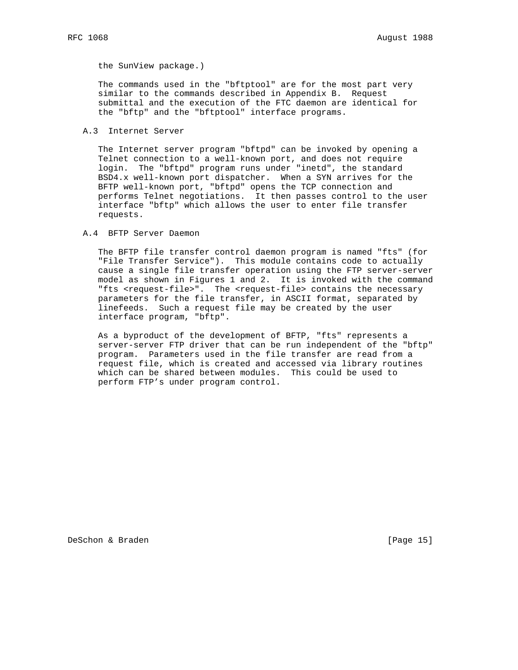the SunView package.)

 The commands used in the "bftptool" are for the most part very similar to the commands described in Appendix B. Request submittal and the execution of the FTC daemon are identical for the "bftp" and the "bftptool" interface programs.

A.3 Internet Server

 The Internet server program "bftpd" can be invoked by opening a Telnet connection to a well-known port, and does not require login. The "bftpd" program runs under "inetd", the standard BSD4.x well-known port dispatcher. When a SYN arrives for the BFTP well-known port, "bftpd" opens the TCP connection and performs Telnet negotiations. It then passes control to the user interface "bftp" which allows the user to enter file transfer requests.

A.4 BFTP Server Daemon

 The BFTP file transfer control daemon program is named "fts" (for "File Transfer Service"). This module contains code to actually cause a single file transfer operation using the FTP server-server model as shown in Figures 1 and 2. It is invoked with the command "fts <request-file>". The <request-file> contains the necessary parameters for the file transfer, in ASCII format, separated by linefeeds. Such a request file may be created by the user interface program, "bftp".

 As a byproduct of the development of BFTP, "fts" represents a server-server FTP driver that can be run independent of the "bftp" program. Parameters used in the file transfer are read from a request file, which is created and accessed via library routines which can be shared between modules. This could be used to perform FTP's under program control.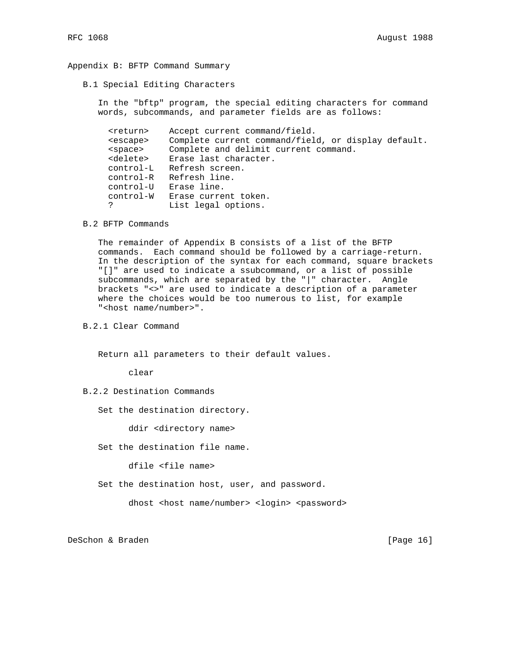#### Appendix B: BFTP Command Summary

B.1 Special Editing Characters

 In the "bftp" program, the special editing characters for command words, subcommands, and parameter fields are as follows:

```
 <return> Accept current command/field.
      <escape> Complete current command/field, or display default.
       <space> Complete and delimit current command.
       <delete> Erase last character.
       control-L Refresh screen.
       control-R Refresh line.
control-U Erase line.
control-W Erase current token.
                List legal options.
```
B.2 BFTP Commands

 The remainder of Appendix B consists of a list of the BFTP commands. Each command should be followed by a carriage-return. In the description of the syntax for each command, square brackets "[]" are used to indicate a ssubcommand, or a list of possible subcommands, which are separated by the "|" character. Angle brackets "<>" are used to indicate a description of a parameter where the choices would be too numerous to list, for example "<host name/number>".

B.2.1 Clear Command

Return all parameters to their default values.

clear

- B.2.2 Destination Commands
	- Set the destination directory.

ddir <directory name>

Set the destination file name.

dfile <file name>

Set the destination host, user, and password.

dhost <host name/number> <login> <password>

DeSchon & Braden [Page 16]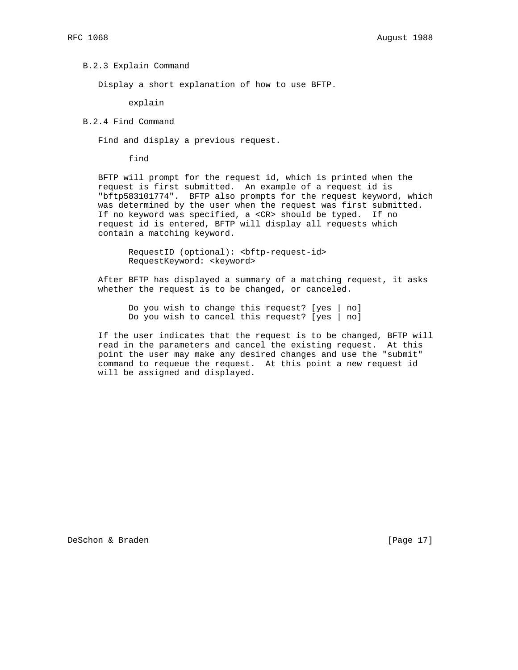#### B.2.3 Explain Command

Display a short explanation of how to use BFTP.

explain

# B.2.4 Find Command

Find and display a previous request.

find

 BFTP will prompt for the request id, which is printed when the request is first submitted. An example of a request id is "bftp583101774". BFTP also prompts for the request keyword, which was determined by the user when the request was first submitted. If no keyword was specified, a <CR> should be typed. If no request id is entered, BFTP will display all requests which contain a matching keyword.

 RequestID (optional): <bftp-request-id> RequestKeyword: <keyword>

 After BFTP has displayed a summary of a matching request, it asks whether the request is to be changed, or canceled.

 Do you wish to change this request? [yes | no] Do you wish to cancel this request? [yes | no]

 If the user indicates that the request is to be changed, BFTP will read in the parameters and cancel the existing request. At this point the user may make any desired changes and use the "submit" command to requeue the request. At this point a new request id will be assigned and displayed.

DeSchon & Braden [Page 17]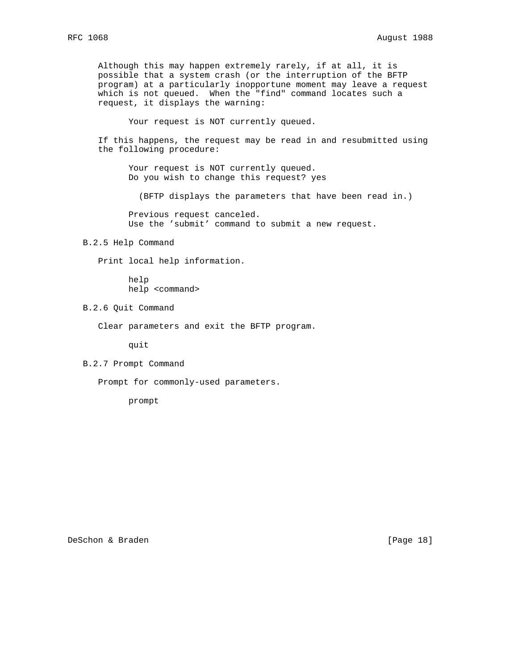Although this may happen extremely rarely, if at all, it is possible that a system crash (or the interruption of the BFTP program) at a particularly inopportune moment may leave a request which is not queued. When the "find" command locates such a request, it displays the warning:

Your request is NOT currently queued.

 If this happens, the request may be read in and resubmitted using the following procedure:

Your request is NOT currently queued. Do you wish to change this request? yes

(BFTP displays the parameters that have been read in.)

 Previous request canceled. Use the 'submit' command to submit a new request.

## B.2.5 Help Command

Print local help information.

 help help <command>

B.2.6 Quit Command

Clear parameters and exit the BFTP program.

quit

B.2.7 Prompt Command

Prompt for commonly-used parameters.

prompt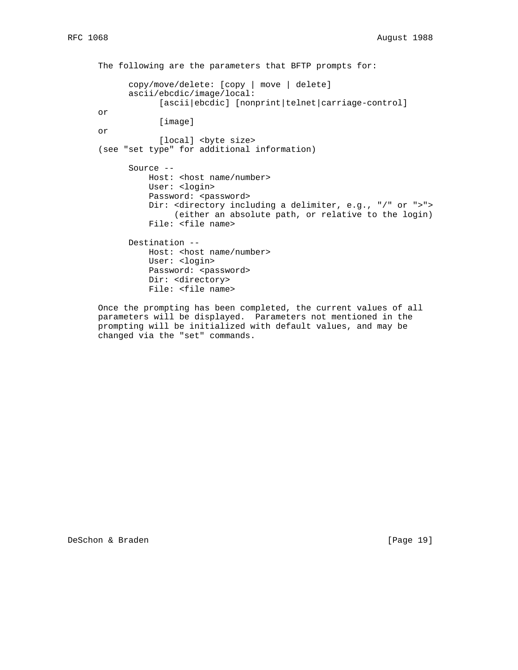The following are the parameters that BFTP prompts for: copy/move/delete: [copy | move | delete] ascii/ebcdic/image/local: [ascii|ebcdic] [nonprint|telnet|carriage-control] or [image] or [local] <br/>byte size> (see "set type" for additional information) Source -- Host: < host name/number> User: <login> Password: <password> Dir: <directory including a delimiter, e.g., "/" or ">"> (either an absolute path, or relative to the login) File: <file name> Destination -- Host: < host name/number> User: <login> Password: <password> Dir: <directory> File: <file name> Once the prompting has been completed, the current values of all

 parameters will be displayed. Parameters not mentioned in the prompting will be initialized with default values, and may be changed via the "set" commands.

DeSchon & Braden [Page 19]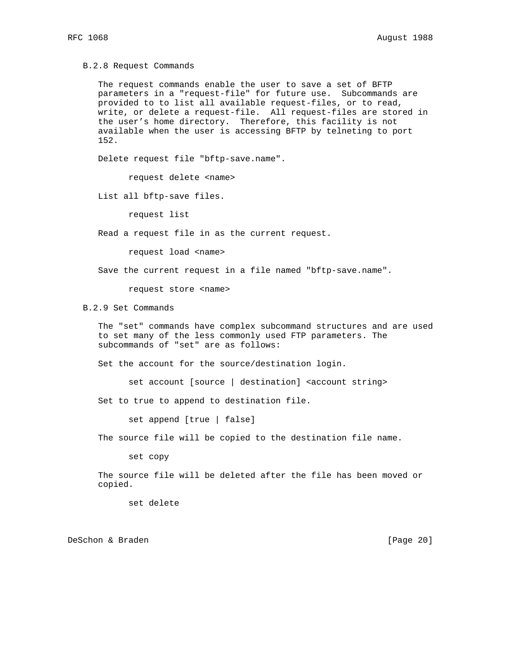B.2.8 Request Commands

 The request commands enable the user to save a set of BFTP parameters in a "request-file" for future use. Subcommands are provided to to list all available request-files, or to read, write, or delete a request-file. All request-files are stored in the user's home directory. Therefore, this facility is not available when the user is accessing BFTP by telneting to port 152.

Delete request file "bftp-save.name".

request delete <name>

List all bftp-save files.

request list

Read a request file in as the current request.

request load <name>

Save the current request in a file named "bftp-save.name".

request store <name>

B.2.9 Set Commands

 The "set" commands have complex subcommand structures and are used to set many of the less commonly used FTP parameters. The subcommands of "set" are as follows:

Set the account for the source/destination login.

set account [source | destination] <account string>

Set to true to append to destination file.

set append [true | false]

The source file will be copied to the destination file name.

set copy

 The source file will be deleted after the file has been moved or copied.

set delete

DeSchon & Braden [Page 20]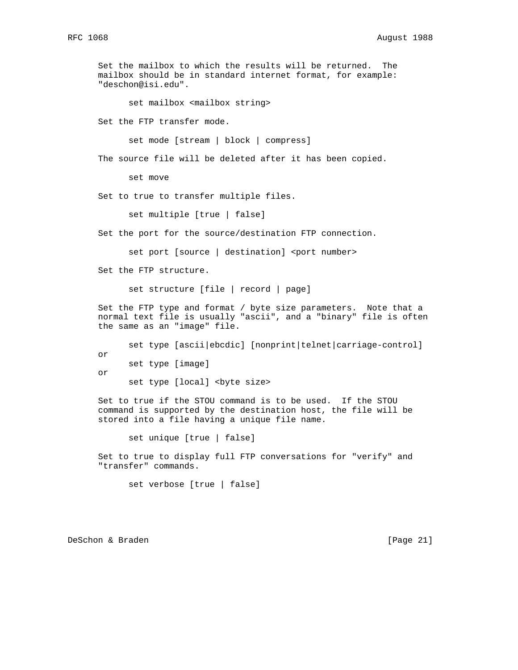Set the mailbox to which the results will be returned. The mailbox should be in standard internet format, for example: "deschon@isi.edu".

set mailbox <mailbox string>

Set the FTP transfer mode.

set mode [stream | block | compress]

The source file will be deleted after it has been copied.

set move

Set to true to transfer multiple files.

set multiple [true | false]

Set the port for the source/destination FTP connection.

set port [source | destination] <port number>

Set the FTP structure.

set structure [file | record | page]

 Set the FTP type and format / byte size parameters. Note that a normal text file is usually "ascii", and a "binary" file is often the same as an "image" file.

set type [ascii|ebcdic] [nonprint|telnet|carriage-control] or set type [image] or

set type [local] <br/>byte size>

 Set to true if the STOU command is to be used. If the STOU command is supported by the destination host, the file will be stored into a file having a unique file name.

set unique [true | false]

 Set to true to display full FTP conversations for "verify" and "transfer" commands.

set verbose [true | false]

DeSchon & Braden [Page 21]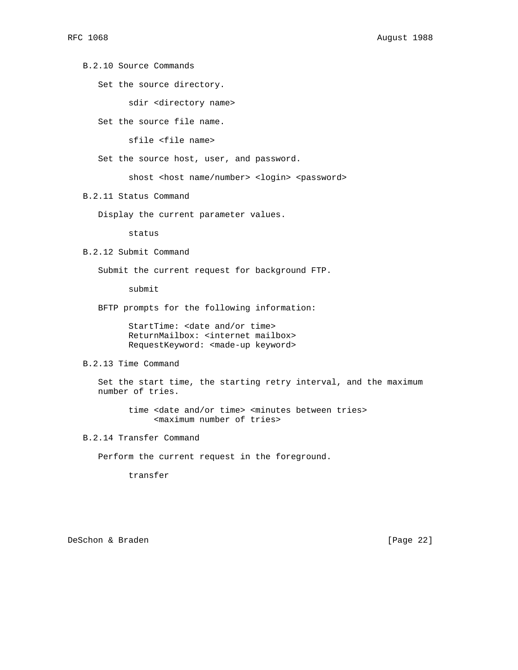B.2.10 Source Commands

Set the source directory.

sdir <directory name>

Set the source file name.

sfile <file name>

Set the source host, user, and password.

shost <host name/number> <login> <password>

B.2.11 Status Command

Display the current parameter values.

status

B.2.12 Submit Command

Submit the current request for background FTP.

submit

BFTP prompts for the following information:

 StartTime: <date and/or time> ReturnMailbox: <internet mailbox> RequestKeyword: <made-up keyword>

B.2.13 Time Command

 Set the start time, the starting retry interval, and the maximum number of tries.

 time <date and/or time> <minutes between tries> <maximum number of tries>

B.2.14 Transfer Command

Perform the current request in the foreground.

transfer

DeSchon & Braden [Page 22]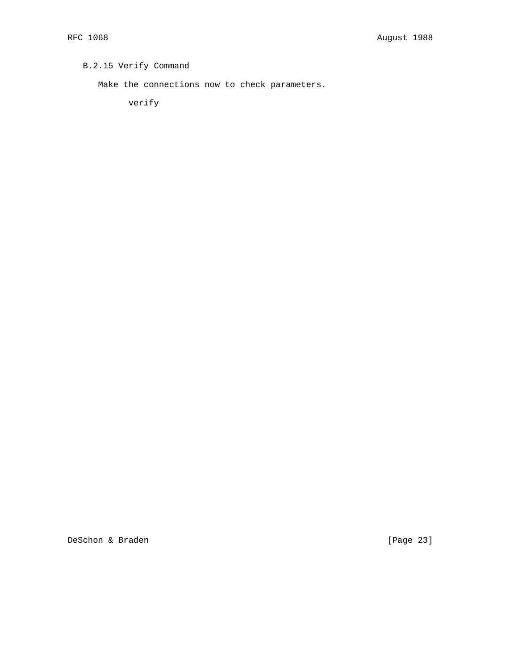# B.2.15 Verify Command

Make the connections now to check parameters.

verify

DeSchon & Braden [Page 23]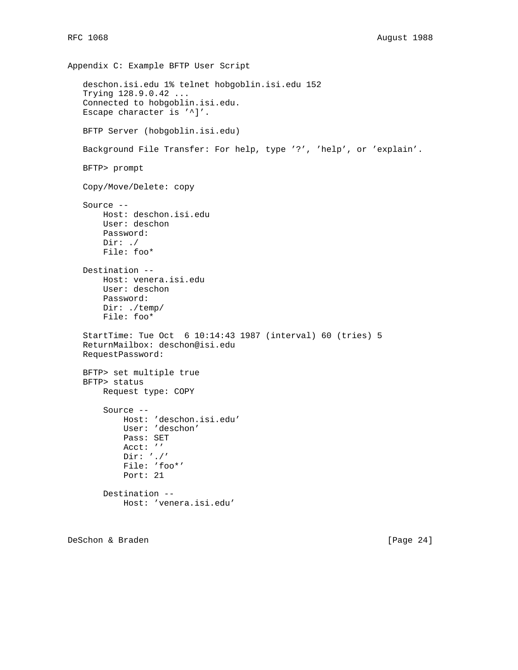```
Appendix C: Example BFTP User Script
   deschon.isi.edu 1% telnet hobgoblin.isi.edu 152
   Trying 128.9.0.42 ...
   Connected to hobgoblin.isi.edu.
  Escape character is '^]'.
   BFTP Server (hobgoblin.isi.edu)
   Background File Transfer: For help, type '?', 'help', or 'explain'.
   BFTP> prompt
   Copy/Move/Delete: copy
   Source --
       Host: deschon.isi.edu
       User: deschon
       Password:
       Dir: ./
       File: foo*
   Destination --
       Host: venera.isi.edu
       User: deschon
       Password:
       Dir: ./temp/
       File: foo*
   StartTime: Tue Oct 6 10:14:43 1987 (interval) 60 (tries) 5
   ReturnMailbox: deschon@isi.edu
   RequestPassword:
   BFTP> set multiple true
   BFTP> status
       Request type: COPY
       Source --
           Host: 'deschon.isi.edu'
           User: 'deschon'
           Pass: SET
           Acct: ''
           Dir: './'
           File: 'foo*'
           Port: 21
       Destination --
           Host: 'venera.isi.edu'
```

```
DeSchon & Braden [Page 24]
```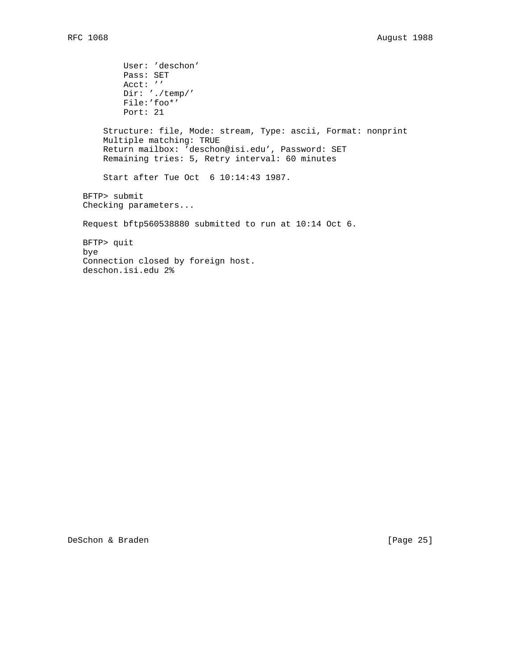User: 'deschon' Pass: SET Acct: '' Dir: './temp/' File:'foo\*' Port: 21 Structure: file, Mode: stream, Type: ascii, Format: nonprint Multiple matching: TRUE Return mailbox: 'deschon@isi.edu', Password: SET Remaining tries: 5, Retry interval: 60 minutes Start after Tue Oct 6 10:14:43 1987. BFTP> submit Checking parameters... Request bftp560538880 submitted to run at 10:14 Oct 6. BFTP> quit bye Connection closed by foreign host. deschon.isi.edu 2%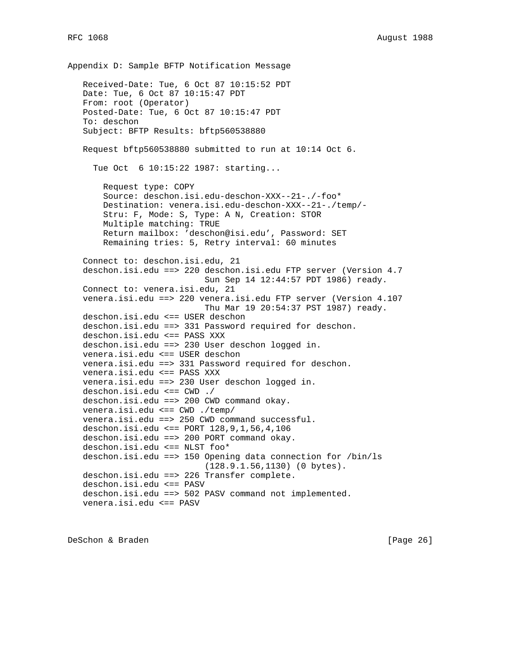Appendix D: Sample BFTP Notification Message Received-Date: Tue, 6 Oct 87 10:15:52 PDT Date: Tue, 6 Oct 87 10:15:47 PDT From: root (Operator) Posted-Date: Tue, 6 Oct 87 10:15:47 PDT To: deschon Subject: BFTP Results: bftp560538880 Request bftp560538880 submitted to run at 10:14 Oct 6. Tue Oct 6 10:15:22 1987: starting... Request type: COPY Source: deschon.isi.edu-deschon-XXX--21-./-foo\* Destination: venera.isi.edu-deschon-XXX--21-./temp/- Stru: F, Mode: S, Type: A N, Creation: STOR Multiple matching: TRUE Return mailbox: 'deschon@isi.edu', Password: SET Remaining tries: 5, Retry interval: 60 minutes Connect to: deschon.isi.edu, 21 deschon.isi.edu ==> 220 deschon.isi.edu FTP server (Version 4.7 Sun Sep 14 12:44:57 PDT 1986) ready. Connect to: venera.isi.edu, 21 venera.isi.edu ==> 220 venera.isi.edu FTP server (Version 4.107 Thu Mar 19 20:54:37 PST 1987) ready. deschon.isi.edu <== USER deschon deschon.isi.edu ==> 331 Password required for deschon. deschon.isi.edu <== PASS XXX deschon.isi.edu ==> 230 User deschon logged in. venera.isi.edu <== USER deschon venera.isi.edu ==> 331 Password required for deschon. venera.isi.edu <== PASS XXX venera.isi.edu ==> 230 User deschon logged in. deschon.isi.edu <== CWD ./ deschon.isi.edu ==> 200 CWD command okay. venera.isi.edu <== CWD ./temp/ venera.isi.edu ==> 250 CWD command successful. deschon.isi.edu <== PORT 128,9,1,56,4,106 deschon.isi.edu ==> 200 PORT command okay. deschon.isi.edu <== NLST foo\* deschon.isi.edu ==> 150 Opening data connection for /bin/ls (128.9.1.56,1130) (0 bytes). deschon.isi.edu ==> 226 Transfer complete. deschon.isi.edu <== PASV deschon.isi.edu ==> 502 PASV command not implemented. venera.isi.edu <== PASV

DeSchon & Braden [Page 26]